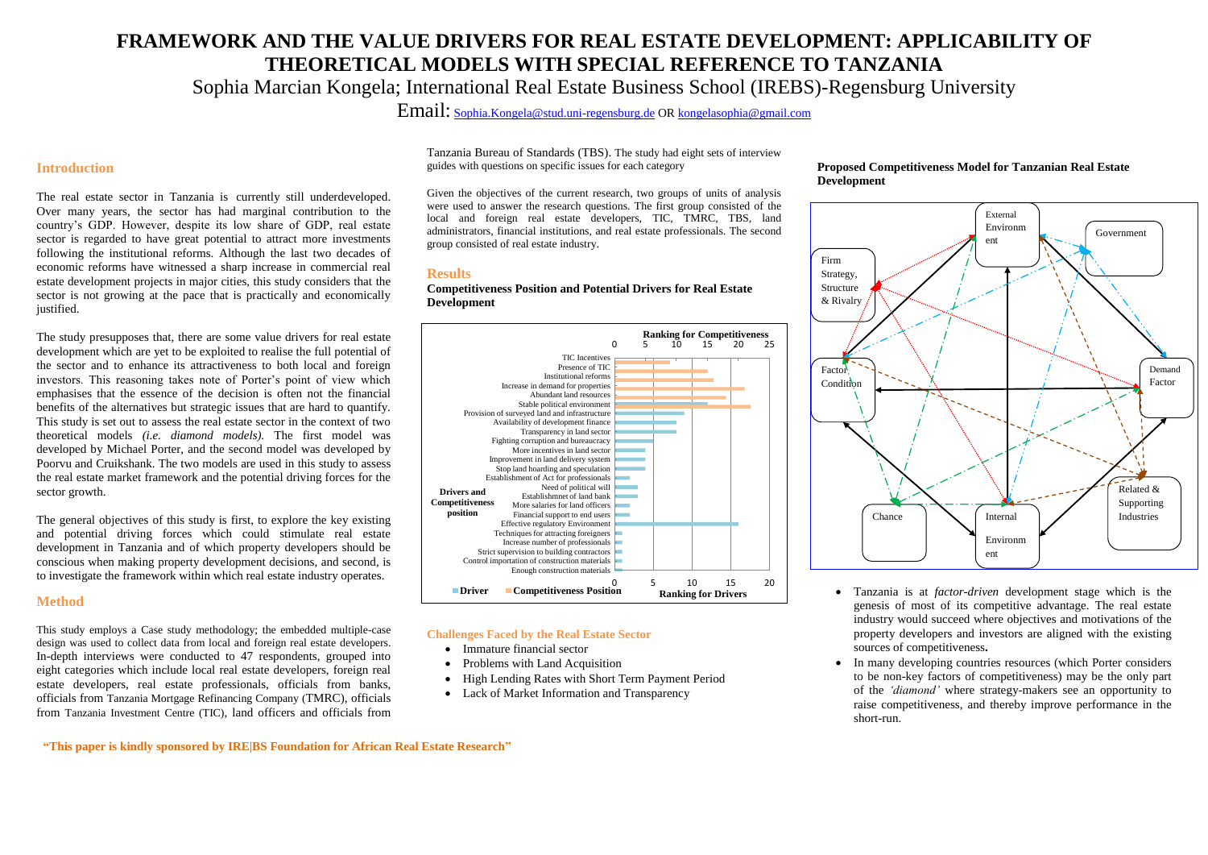**"This paper is kindly sponsored by IRE|BS Foundation for African Real Estate Research"**

# **FRAMEWORK AND THE VALUE DRIVERS FOR REAL ESTATE DEVELOPMENT: APPLICABILITY OF THEORETICAL MODELS WITH SPECIAL REFERENCE TO TANZANIA** Sophia Marcian Kongela; International Real Estate Business School (IREBS)-Regensburg University

Email: [Sophia.Kongela@stud.uni-regensburg.de](mailto:Sophia.Kongela@stud.uni-regensburg.de) OR [kongelasophia@gmail.com](mailto:kongelasophia@gmail.com)

### **Introduction**

The real estate sector in Tanzania is currently still underdeveloped. Over many years, the sector has had marginal contribution to the country's GDP. However, despite its low share of GDP, real estate sector is regarded to have great potential to attract more investments following the institutional reforms. Although the last two decades of economic reforms have witnessed a sharp increase in commercial real estate development projects in major cities, this study considers that the sector is not growing at the pace that is practically and economically justified.

The study presupposes that, there are some value drivers for real estate development which are yet to be exploited to realise the full potential of the sector and to enhance its attractiveness to both local and foreign investors. This reasoning takes note of Porter's point of view which emphasises that the essence of the decision is often not the financial benefits of the alternatives but strategic issues that are hard to quantify. This study is set out to assess the real estate sector in the context of two theoretical models *(i.e. diamond models).* The first model was developed by Michael Porter, and the second model was developed by Poorvu and Cruikshank. The two models are used in this study to assess the real estate market framework and the potential driving forces for the sector growth.

- Immature financial sector
- Problems with Land Acquisition
- High Lending Rates with Short Term Payment Period
- Lack of Market Information and Transparency

The general objectives of this study is first, to explore the key existing and potential driving forces which could stimulate real estate development in Tanzania and of which property developers should be conscious when making property development decisions, and second, is to investigate the framework within which real estate industry operates.

#### **Method**

This study employs a Case study methodology; the embedded multiple-case design was used to collect data from local and foreign real estate developers. In-depth interviews were conducted to 47 respondents, grouped into eight categories which include local real estate developers, foreign real estate developers, real estate professionals, officials from banks, officials from Tanzania Mortgage Refinancing Company (TMRC), officials from Tanzania Investment Centre (TIC), land officers and officials from Tanzania Bureau of Standards (TBS). The study had eight sets of interview guides with questions on specific issues for each category

Given the objectives of the current research, two groups of units of analysis were used to answer the research questions. The first group consisted of the local and foreign real estate developers, TIC, TMRC, TBS, land administrators, financial institutions, and real estate professionals. The second group consisted of real estate industry.

#### **Results**

**Competitiveness Position and Potential Drivers for Real Estate Development**

#### **Challenges Faced by the Real Estate Sector**

## **Proposed Competitiveness Model for Tanzanian Real Estate**



 Tanzania is at *factor-driven* development stage which is the genesis of most of its competitive advantage. The real estate industry would succeed where objectives and motivations of the property developers and investors are aligned with the existing sources of competitiveness**.**

 In many developing countries resources (which Porter considers to be non-key factors of competitiveness) may be the only part of the *'diamond'* where strategy-makers see an opportunity to raise competitiveness, and thereby improve performance in the

- 
- short-run.